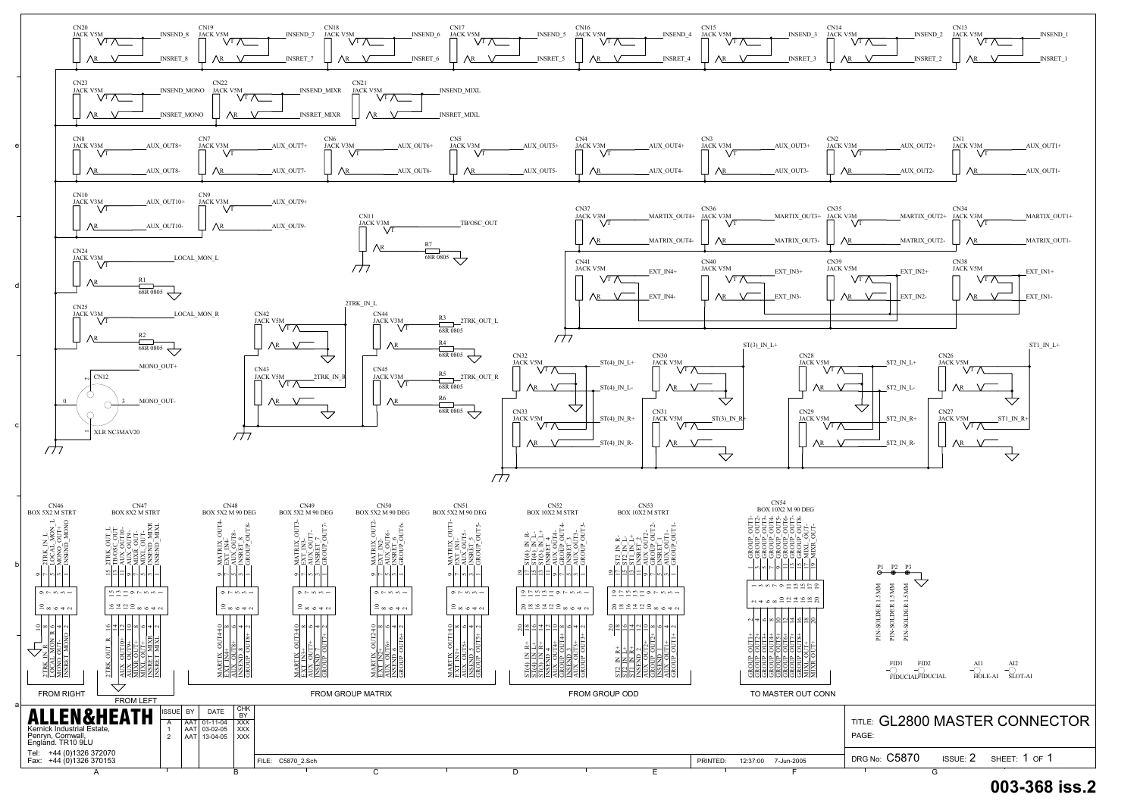

## **003-368 iss.2**